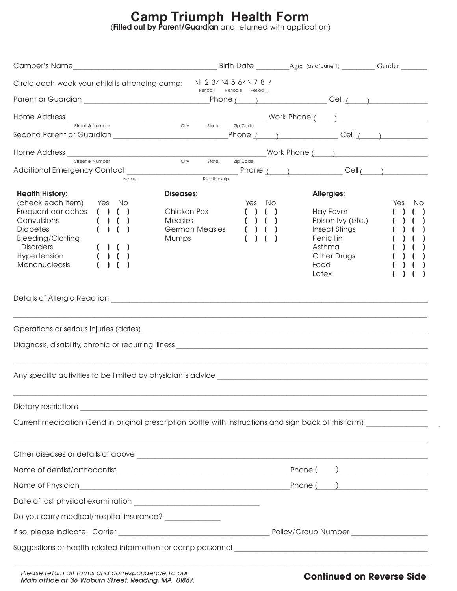## **Camp Triumph Health Form**

**(Filled out by Parent/Guardian** and returned with application)

| 123/456/18/<br>Circle each week your child is attending camp:<br>Period I<br>Period II Period III<br>_Phone (____) _________________Cell (____) _____________<br>Street & Number<br>City<br><b>7ip Code</b><br>State<br>Work Phone ( and )<br>Street & Number<br>City State<br>Zip Code<br>Relationship<br>Name<br><b>Health History:</b><br>Diseases:<br><b>Allergies:</b><br>(check each item) Yes No<br>Yes No<br>Yes<br>- No<br>Frequent ear aches $( ) ( )$<br>Chicken Pox<br>Hay Fever<br>( ) ( )<br>Convulsions<br>( ) ( )<br>Measles<br>Poison Ivy (etc.)<br>( ) ( )<br><b>German Measles</b><br><b>Diabetes</b><br>Insect Stings<br>Penicillin<br>Bleeding/Clotting<br>Mumps<br><b>Disorders</b><br>( ) ( )<br>Asthma<br>( ) ( )<br>Hypertension<br>Other Drugs<br><b>Mononucleosis</b><br>Food<br>Latex<br>Current medication (Send in original prescription bottle with instructions and sign back of this form) __________<br>Do you carry medical/hospital insurance? _____________ |  |  |  |
|--------------------------------------------------------------------------------------------------------------------------------------------------------------------------------------------------------------------------------------------------------------------------------------------------------------------------------------------------------------------------------------------------------------------------------------------------------------------------------------------------------------------------------------------------------------------------------------------------------------------------------------------------------------------------------------------------------------------------------------------------------------------------------------------------------------------------------------------------------------------------------------------------------------------------------------------------------------------------------------------------|--|--|--|
|                                                                                                                                                                                                                                                                                                                                                                                                                                                                                                                                                                                                                                                                                                                                                                                                                                                                                                                                                                                                  |  |  |  |
|                                                                                                                                                                                                                                                                                                                                                                                                                                                                                                                                                                                                                                                                                                                                                                                                                                                                                                                                                                                                  |  |  |  |
|                                                                                                                                                                                                                                                                                                                                                                                                                                                                                                                                                                                                                                                                                                                                                                                                                                                                                                                                                                                                  |  |  |  |
|                                                                                                                                                                                                                                                                                                                                                                                                                                                                                                                                                                                                                                                                                                                                                                                                                                                                                                                                                                                                  |  |  |  |
|                                                                                                                                                                                                                                                                                                                                                                                                                                                                                                                                                                                                                                                                                                                                                                                                                                                                                                                                                                                                  |  |  |  |
|                                                                                                                                                                                                                                                                                                                                                                                                                                                                                                                                                                                                                                                                                                                                                                                                                                                                                                                                                                                                  |  |  |  |
|                                                                                                                                                                                                                                                                                                                                                                                                                                                                                                                                                                                                                                                                                                                                                                                                                                                                                                                                                                                                  |  |  |  |
|                                                                                                                                                                                                                                                                                                                                                                                                                                                                                                                                                                                                                                                                                                                                                                                                                                                                                                                                                                                                  |  |  |  |
|                                                                                                                                                                                                                                                                                                                                                                                                                                                                                                                                                                                                                                                                                                                                                                                                                                                                                                                                                                                                  |  |  |  |
|                                                                                                                                                                                                                                                                                                                                                                                                                                                                                                                                                                                                                                                                                                                                                                                                                                                                                                                                                                                                  |  |  |  |
|                                                                                                                                                                                                                                                                                                                                                                                                                                                                                                                                                                                                                                                                                                                                                                                                                                                                                                                                                                                                  |  |  |  |
|                                                                                                                                                                                                                                                                                                                                                                                                                                                                                                                                                                                                                                                                                                                                                                                                                                                                                                                                                                                                  |  |  |  |
|                                                                                                                                                                                                                                                                                                                                                                                                                                                                                                                                                                                                                                                                                                                                                                                                                                                                                                                                                                                                  |  |  |  |
|                                                                                                                                                                                                                                                                                                                                                                                                                                                                                                                                                                                                                                                                                                                                                                                                                                                                                                                                                                                                  |  |  |  |
|                                                                                                                                                                                                                                                                                                                                                                                                                                                                                                                                                                                                                                                                                                                                                                                                                                                                                                                                                                                                  |  |  |  |
|                                                                                                                                                                                                                                                                                                                                                                                                                                                                                                                                                                                                                                                                                                                                                                                                                                                                                                                                                                                                  |  |  |  |
|                                                                                                                                                                                                                                                                                                                                                                                                                                                                                                                                                                                                                                                                                                                                                                                                                                                                                                                                                                                                  |  |  |  |
|                                                                                                                                                                                                                                                                                                                                                                                                                                                                                                                                                                                                                                                                                                                                                                                                                                                                                                                                                                                                  |  |  |  |
|                                                                                                                                                                                                                                                                                                                                                                                                                                                                                                                                                                                                                                                                                                                                                                                                                                                                                                                                                                                                  |  |  |  |